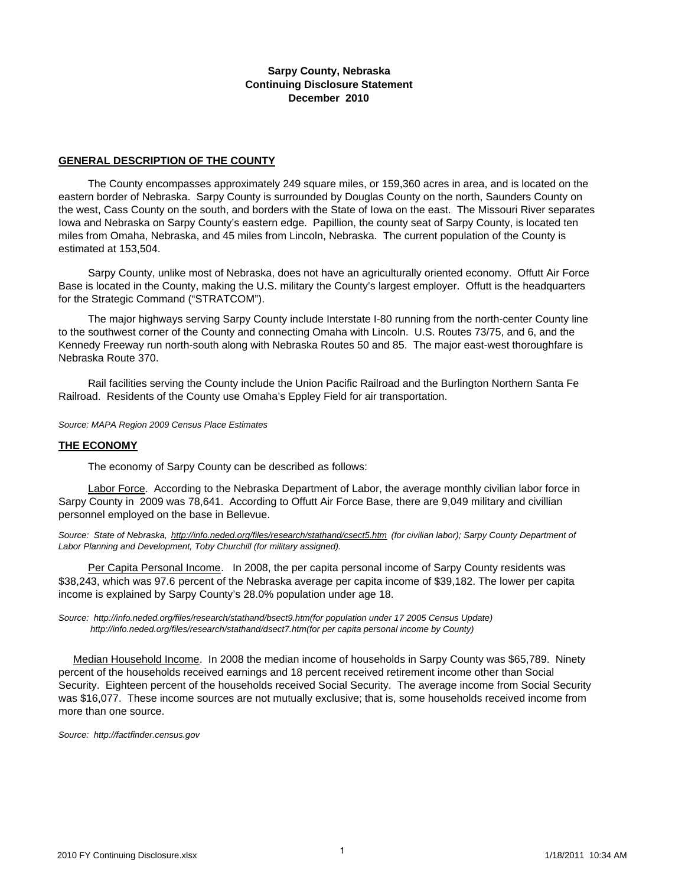#### **Sarpy County, Nebraska Continuing Disclosure Statement December 2010**

#### **GENERAL DESCRIPTION OF THE COUNTY**

 The County encompasses approximately 249 square miles, or 159,360 acres in area, and is located on the eastern border of Nebraska. Sarpy County is surrounded by Douglas County on the north, Saunders County on the west, Cass County on the south, and borders with the State of Iowa on the east. The Missouri River separates Iowa and Nebraska on Sarpy County's eastern edge. Papillion, the county seat of Sarpy County, is located ten miles from Omaha, Nebraska, and 45 miles from Lincoln, Nebraska. The current population of the County is estimated at 153,504.

 Sarpy County, unlike most of Nebraska, does not have an agriculturally oriented economy. Offutt Air Force Base is located in the County, making the U.S. military the County's largest employer. Offutt is the headquarters for the Strategic Command ("STRATCOM").

 The major highways serving Sarpy County include Interstate I-80 running from the north-center County line to the southwest corner of the County and connecting Omaha with Lincoln. U.S. Routes 73/75, and 6, and the Kennedy Freeway run north-south along with Nebraska Routes 50 and 85. The major east-west thoroughfare is Nebraska Route 370.

 Rail facilities serving the County include the Union Pacific Railroad and the Burlington Northern Santa Fe Railroad. Residents of the County use Omaha's Eppley Field for air transportation.

*Source: MAPA Region 2009 Census Place Estimates*

#### **THE ECONOMY**

The economy of Sarpy County can be described as follows:

 Labor Force. According to the Nebraska Department of Labor, the average monthly civilian labor force in Sarpy County in 2009 was 78,641. According to Offutt Air Force Base, there are 9,049 military and civillian personnel employed on the base in Bellevue.

Source: State of Nebraska, http://info.neded.org/files/research/stathand/csect5.htm (for civilian labor); Sarpy County Department of *Labor Planning and Development, Toby Churchill (for military assigned).* 

 Per Capita Personal Income. In 2008, the per capita personal income of Sarpy County residents was \$38,243, which was 97.6 percent of the Nebraska average per capita income of \$39,182. The lower per capita income is explained by Sarpy County's 28.0% population under age 18.

*Source: http://info.neded.org/files/research/stathand/bsect9.htm(for population under 17 2005 Census Update) http://info.neded.org/files/research/stathand/dsect7.htm(for per capita personal income by County)*

Median Household Income. In 2008 the median income of households in Sarpy County was \$65,789. Ninety percent of the households received earnings and 18 percent received retirement income other than Social Security. Eighteen percent of the households received Social Security. The average income from Social Security was \$16,077. These income sources are not mutually exclusive; that is, some households received income from more than one source.

*Source: http://factfinder.census.gov*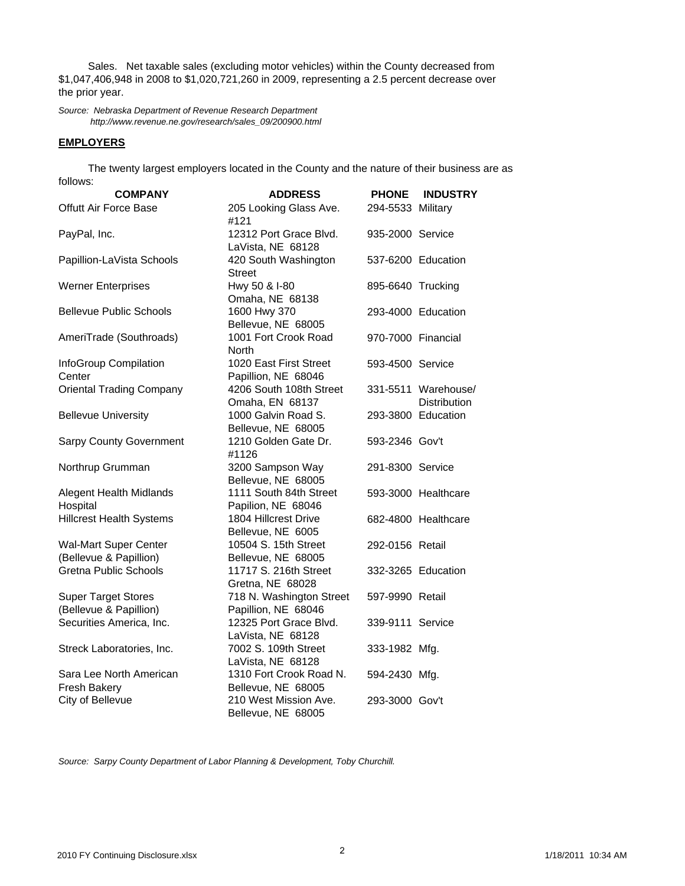Sales. Net taxable sales (excluding motor vehicles) within the County decreased from \$1,047,406,948 in 2008 to \$1,020,721,260 in 2009, representing a 2.5 percent decrease over the prior year.

*Source: Nebraska Department of Revenue Research Department http://www.revenue.ne.gov/research/sales\_09/200900.html*

#### **EMPLOYERS**

 The twenty largest employers located in the County and the nature of their business are as follows:

| <b>COMPANY</b>                                         | <b>ADDRESS</b>                                  | <b>PHONE</b>       | <b>INDUSTRY</b>                     |
|--------------------------------------------------------|-------------------------------------------------|--------------------|-------------------------------------|
| <b>Offutt Air Force Base</b>                           | 205 Looking Glass Ave.<br>#121                  | 294-5533 Military  |                                     |
| PayPal, Inc.                                           | 12312 Port Grace Blvd.<br>LaVista, NE 68128     | 935-2000 Service   |                                     |
| Papillion-LaVista Schools                              | 420 South Washington<br><b>Street</b>           |                    | 537-6200 Education                  |
| <b>Werner Enterprises</b>                              | Hwy 50 & I-80<br>Omaha, NE 68138                | 895-6640 Trucking  |                                     |
| <b>Bellevue Public Schools</b>                         | 1600 Hwy 370<br>Bellevue, NE 68005              |                    | 293-4000 Education                  |
| AmeriTrade (Southroads)                                | 1001 Fort Crook Road<br>North                   | 970-7000 Financial |                                     |
| InfoGroup Compilation<br>Center                        | 1020 East First Street<br>Papillion, NE 68046   | 593-4500 Service   |                                     |
| <b>Oriental Trading Company</b>                        | 4206 South 108th Street<br>Omaha, EN 68137      |                    | 331-5511 Warehouse/<br>Distribution |
| <b>Bellevue University</b>                             | 1000 Galvin Road S.<br>Bellevue, NE 68005       |                    | 293-3800 Education                  |
| <b>Sarpy County Government</b>                         | 1210 Golden Gate Dr.<br>#1126                   | 593-2346 Gov't     |                                     |
| Northrup Grumman                                       | 3200 Sampson Way<br>Bellevue, NE 68005          | 291-8300 Service   |                                     |
| Alegent Health Midlands<br>Hospital                    | 1111 South 84th Street<br>Papilion, NE 68046    |                    | 593-3000 Healthcare                 |
| <b>Hillcrest Health Systems</b>                        | 1804 Hillcrest Drive<br>Bellevue, NE 6005       |                    | 682-4800 Healthcare                 |
| <b>Wal-Mart Super Center</b><br>(Bellevue & Papillion) | 10504 S. 15th Street<br>Bellevue, NE 68005      | 292-0156 Retail    |                                     |
| <b>Gretna Public Schools</b>                           | 11717 S. 216th Street<br>Gretna, NE 68028       |                    | 332-3265 Education                  |
| <b>Super Target Stores</b><br>(Bellevue & Papillion)   | 718 N. Washington Street<br>Papillion, NE 68046 | 597-9990 Retail    |                                     |
| Securities America, Inc.                               | 12325 Port Grace Blvd.<br>LaVista, NE 68128     | 339-9111 Service   |                                     |
| Streck Laboratories, Inc.                              | 7002 S. 109th Street<br>LaVista, NE 68128       | 333-1982 Mfg.      |                                     |
| Sara Lee North American<br>Fresh Bakery                | 1310 Fort Crook Road N.<br>Bellevue, NE 68005   | 594-2430 Mfg.      |                                     |
| City of Bellevue                                       | 210 West Mission Ave.<br>Bellevue, NE 68005     | 293-3000 Gov't     |                                     |

*Source: Sarpy County Department of Labor Planning & Development, Toby Churchill.*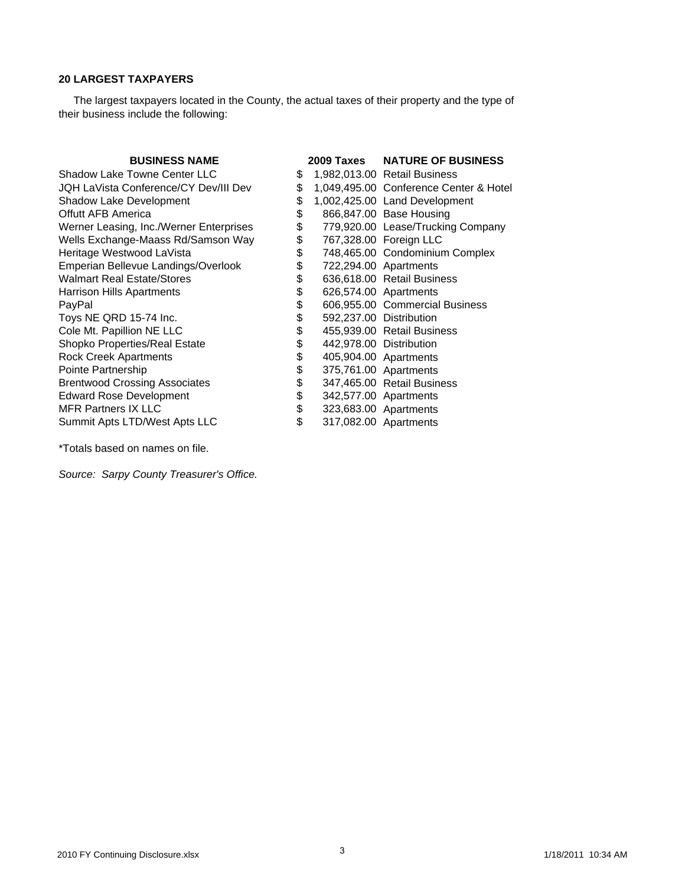## **20 LARGEST TAXPAYERS**

 The largest taxpayers located in the County, the actual taxes of their property and the type of their business include the following:

| <b>BUSINESS NAME</b>                    |    | 2009 Taxes | <b>NATURE OF BUSINESS</b>              |
|-----------------------------------------|----|------------|----------------------------------------|
| <b>Shadow Lake Towne Center LLC</b>     | S  |            | 1,982,013.00 Retail Business           |
| JQH LaVista Conference/CY Dev/III Dev   | \$ |            | 1,049,495.00 Conference Center & Hotel |
| Shadow Lake Development                 | \$ |            | 1,002,425.00 Land Development          |
| <b>Offutt AFB America</b>               | \$ |            | 866,847.00 Base Housing                |
| Werner Leasing, Inc./Werner Enterprises | \$ |            | 779,920.00 Lease/Trucking Company      |
| Wells Exchange-Maass Rd/Samson Way      | \$ |            | 767,328.00 Foreign LLC                 |
| Heritage Westwood LaVista               | \$ |            | 748,465.00 Condominium Complex         |
| Emperian Bellevue Landings/Overlook     | \$ |            | 722,294.00 Apartments                  |
| <b>Walmart Real Estate/Stores</b>       | \$ |            | 636,618.00 Retail Business             |
| Harrison Hills Apartments               | \$ |            | 626,574.00 Apartments                  |
| PayPal                                  | \$ |            | 606,955.00 Commercial Business         |
| Toys NE QRD 15-74 Inc.                  | \$ |            | 592,237.00 Distribution                |
| Cole Mt. Papillion NE LLC               | \$ |            | 455,939.00 Retail Business             |
| Shopko Properties/Real Estate           | \$ |            | 442,978.00 Distribution                |
| <b>Rock Creek Apartments</b>            | \$ |            | 405,904.00 Apartments                  |
| Pointe Partnership                      | \$ |            | 375,761.00 Apartments                  |
| <b>Brentwood Crossing Associates</b>    | \$ |            | 347,465.00 Retail Business             |
| <b>Edward Rose Development</b>          | \$ |            | 342,577.00 Apartments                  |
| <b>MFR Partners IX LLC</b>              | \$ |            | 323,683.00 Apartments                  |
| Summit Apts LTD/West Apts LLC           | \$ |            | 317,082.00 Apartments                  |

\*Totals based on names on file.

*Source: Sarpy County Treasurer's Office.*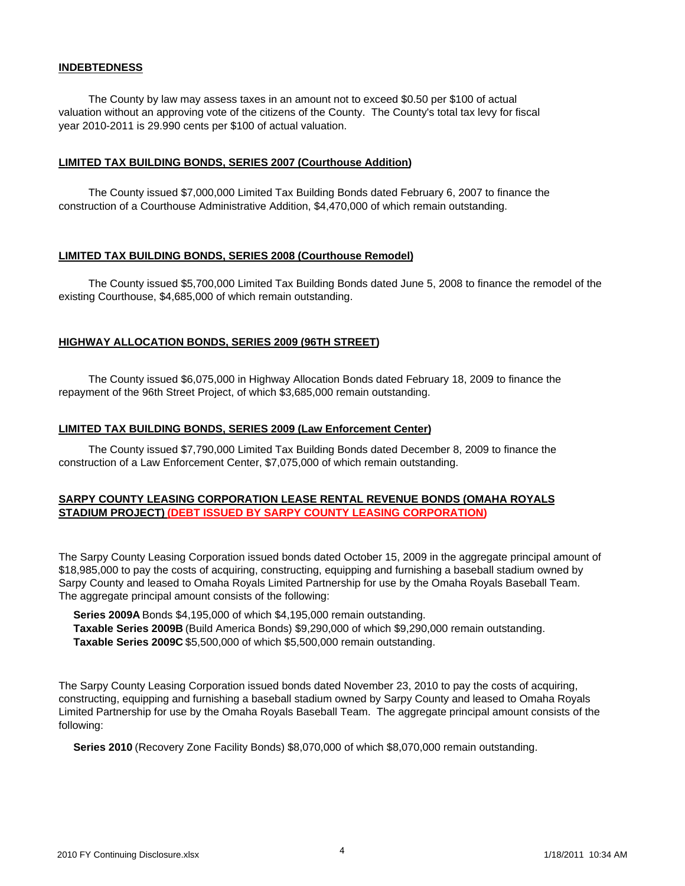#### **INDEBTEDNESS**

 The County by law may assess taxes in an amount not to exceed \$0.50 per \$100 of actual valuation without an approving vote of the citizens of the County. The County's total tax levy for fiscal year 2010-2011 is 29.990 cents per \$100 of actual valuation.

#### **LIMITED TAX BUILDING BONDS, SERIES 2007 (Courthouse Addition)**

 The County issued \$7,000,000 Limited Tax Building Bonds dated February 6, 2007 to finance the construction of a Courthouse Administrative Addition, \$4,470,000 of which remain outstanding.

#### **LIMITED TAX BUILDING BONDS, SERIES 2008 (Courthouse Remodel)**

 The County issued \$5,700,000 Limited Tax Building Bonds dated June 5, 2008 to finance the remodel of the existing Courthouse, \$4,685,000 of which remain outstanding.

## **HIGHWAY ALLOCATION BONDS, SERIES 2009 (96TH STREET)**

 The County issued \$6,075,000 in Highway Allocation Bonds dated February 18, 2009 to finance the repayment of the 96th Street Project, of which \$3,685,000 remain outstanding.

#### **LIMITED TAX BUILDING BONDS, SERIES 2009 (Law Enforcement Center)**

 The County issued \$7,790,000 Limited Tax Building Bonds dated December 8, 2009 to finance the construction of a Law Enforcement Center, \$7,075,000 of which remain outstanding.

## **SARPY COUNTY LEASING CORPORATION LEASE RENTAL REVENUE BONDS (OMAHA ROYALS STADIUM PROJECT) (DEBT ISSUED BY SARPY COUNTY LEASING CORPORATION)**

The Sarpy County Leasing Corporation issued bonds dated October 15, 2009 in the aggregate principal amount of \$18,985,000 to pay the costs of acquiring, constructing, equipping and furnishing a baseball stadium owned by Sarpy County and leased to Omaha Royals Limited Partnership for use by the Omaha Royals Baseball Team. The aggregate principal amount consists of the following:

 **Series 2009A** Bonds \$4,195,000 of which \$4,195,000 remain outstanding. **Taxable Series 2009B** (Build America Bonds) \$9,290,000 of which \$9,290,000 remain outstanding. **Taxable Series 2009C** \$5,500,000 of which \$5,500,000 remain outstanding.

The Sarpy County Leasing Corporation issued bonds dated November 23, 2010 to pay the costs of acquiring, constructing, equipping and furnishing a baseball stadium owned by Sarpy County and leased to Omaha Royals Limited Partnership for use by the Omaha Royals Baseball Team. The aggregate principal amount consists of the following:

**Series 2010** (Recovery Zone Facility Bonds) \$8,070,000 of which \$8,070,000 remain outstanding.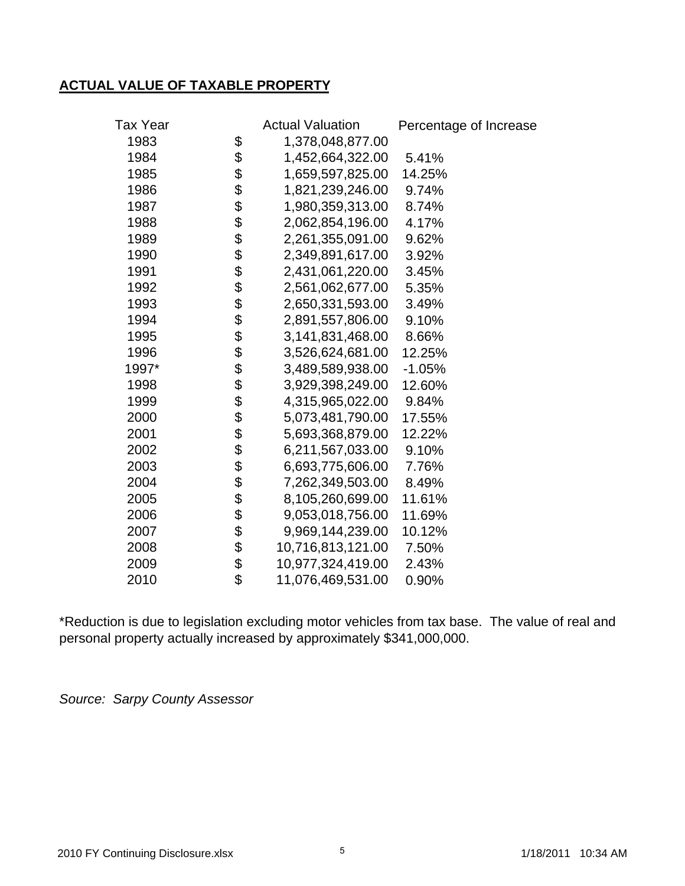# **ACTUAL VALUE OF TAXABLE PROPERTY**

| <b>Tax Year</b> |          | <b>Actual Valuation</b> | Percentage of Increase |
|-----------------|----------|-------------------------|------------------------|
| 1983            | \$       | 1,378,048,877.00        |                        |
| 1984            | \$       | 1,452,664,322.00        | 5.41%                  |
| 1985            | \$       | 1,659,597,825.00        | 14.25%                 |
| 1986            | \$       | 1,821,239,246.00        | 9.74%                  |
| 1987            |          | 1,980,359,313.00        | 8.74%                  |
| 1988            | \$       | 2,062,854,196.00        | 4.17%                  |
| 1989            | \$       | 2,261,355,091.00        | 9.62%                  |
| 1990            | \$       | 2,349,891,617.00        | 3.92%                  |
| 1991            | \$       | 2,431,061,220.00        | 3.45%                  |
| 1992            |          | 2,561,062,677.00        | 5.35%                  |
| 1993            | \$       | 2,650,331,593.00        | 3.49%                  |
| 1994            |          | 2,891,557,806.00        | 9.10%                  |
| 1995            | \$       | 3,141,831,468.00        | 8.66%                  |
| 1996            |          | 3,526,624,681.00        | 12.25%                 |
| 1997*           | \$       | 3,489,589,938.00        | $-1.05%$               |
| 1998            | \$<br>\$ | 3,929,398,249.00        | 12.60%                 |
| 1999            |          | 4,315,965,022.00        | 9.84%                  |
| 2000            | \$       | 5,073,481,790.00        | 17.55%                 |
| 2001            | \$       | 5,693,368,879.00        | 12.22%                 |
| 2002            | \$       | 6,211,567,033.00        | 9.10%                  |
| 2003            | \$       | 6,693,775,606.00        | 7.76%                  |
| 2004            | \$       | 7,262,349,503.00        | 8.49%                  |
| 2005            |          | 8,105,260,699.00        | 11.61%                 |
| 2006            | \$<br>\$ | 9,053,018,756.00        | 11.69%                 |
| 2007            | \$       | 9,969,144,239.00        | 10.12%                 |
| 2008            | \$       | 10,716,813,121.00       | 7.50%                  |
| 2009            | \$       | 10,977,324,419.00       | 2.43%                  |
| 2010            | \$       | 11,076,469,531.00       | 0.90%                  |
|                 |          |                         |                        |

\*Reduction is due to legislation excluding motor vehicles from tax base. The value of real and personal property actually increased by approximately \$341,000,000.

*Source: Sarpy County Assessor*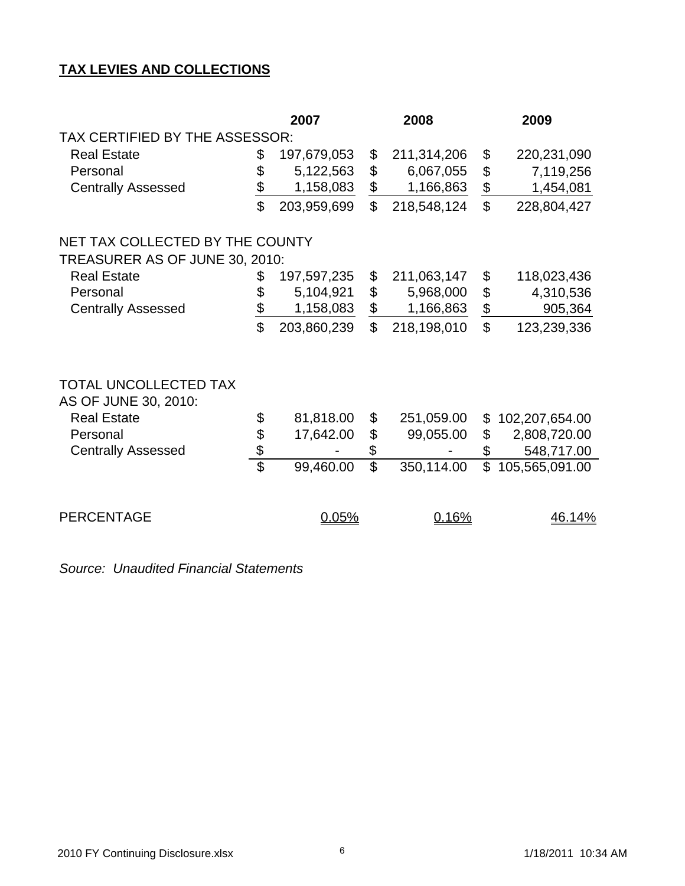# **TAX LEVIES AND COLLECTIONS**

|                                 |                 | 2007        |                 | 2008        |                | 2009           |  |  |
|---------------------------------|-----------------|-------------|-----------------|-------------|----------------|----------------|--|--|
| TAX CERTIFIED BY THE ASSESSOR:  |                 |             |                 |             |                |                |  |  |
| <b>Real Estate</b>              | \$              | 197,679,053 | \$              | 211,314,206 | \$             | 220,231,090    |  |  |
| Personal                        | \$              | 5,122,563   | \$              | 6,067,055   | \$             | 7,119,256      |  |  |
| <b>Centrally Assessed</b>       | $\frac{1}{2}$   | 1,158,083   | $\frac{1}{2}$   | 1,166,863   | $\frac{1}{2}$  | 1,454,081      |  |  |
|                                 | \$              | 203,959,699 | \$              | 218,548,124 | $\mathfrak{S}$ | 228,804,427    |  |  |
| NET TAX COLLECTED BY THE COUNTY |                 |             |                 |             |                |                |  |  |
| TREASURER AS OF JUNE 30, 2010:  |                 |             |                 |             |                |                |  |  |
| <b>Real Estate</b>              | \$              | 197,597,235 | \$              | 211,063,147 | \$             | 118,023,436    |  |  |
| Personal                        | \$              | 5,104,921   | \$              | 5,968,000   | \$             | 4,310,536      |  |  |
| <b>Centrally Assessed</b>       | $\frac{1}{2}$   | 1,158,083   | $\frac{1}{2}$   | 1,166,863   | $\frac{1}{2}$  | 905,364        |  |  |
|                                 | $\mathfrak{P}$  | 203,860,239 | \$              | 218,198,010 | $\mathfrak{L}$ | 123,239,336    |  |  |
| TOTAL UNCOLLECTED TAX           |                 |             |                 |             |                |                |  |  |
| AS OF JUNE 30, 2010:            |                 |             |                 |             |                |                |  |  |
| <b>Real Estate</b>              | \$              | 81,818.00   | \$              | 251,059.00  | \$             | 102,207,654.00 |  |  |
| Personal                        | \$              | 17,642.00   | \$              | 99,055.00   | \$             | 2,808,720.00   |  |  |
| <b>Centrally Assessed</b>       | \$              |             | \$              |             | \$             | 548,717.00     |  |  |
|                                 | $\overline{\$}$ | 99,460.00   | $\overline{\$}$ | 350,114.00  | $\mathfrak{L}$ | 105,565,091.00 |  |  |
| <b>PERCENTAGE</b>               |                 | 0.05%       |                 | 0.16%       |                | <u>46.14%</u>  |  |  |

*Source: Unaudited Financial Statements*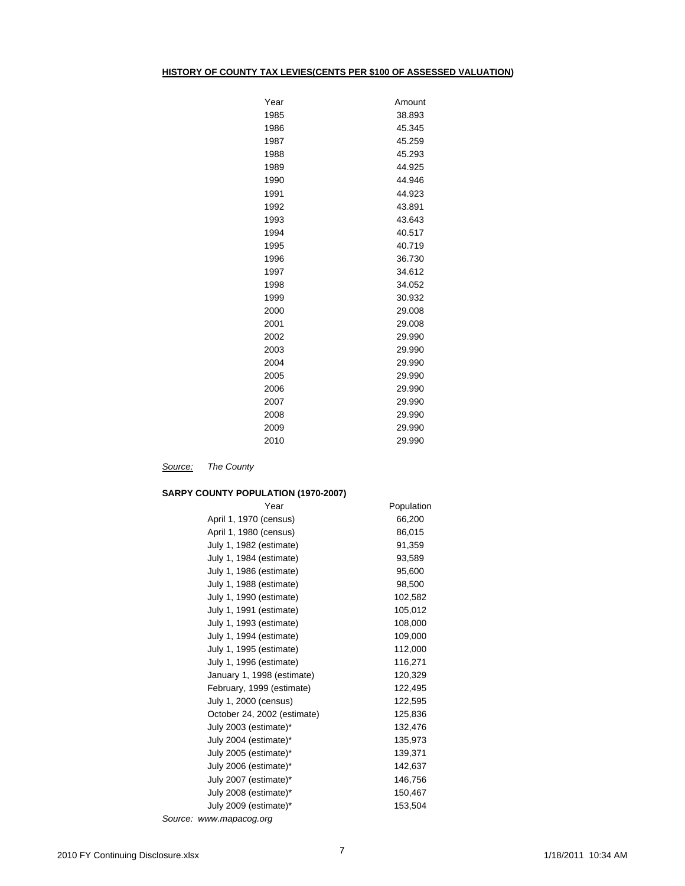#### **HISTORY OF COUNTY TAX LEVIES(CENTS PER \$100 OF ASSESSED VALUATION)**

| Year | Amount |
|------|--------|
| 1985 | 38.893 |
| 1986 | 45.345 |
| 1987 | 45.259 |
| 1988 | 45.293 |
| 1989 | 44.925 |
| 1990 | 44.946 |
| 1991 | 44.923 |
| 1992 | 43.891 |
| 1993 | 43.643 |
| 1994 | 40.517 |
| 1995 | 40.719 |
| 1996 | 36.730 |
| 1997 | 34.612 |
| 1998 | 34.052 |
| 1999 | 30.932 |
| 2000 | 29.008 |
| 2001 | 29.008 |
| 2002 | 29.990 |
| 2003 | 29.990 |
| 2004 | 29.990 |
| 2005 | 29.990 |
| 2006 | 29.990 |
| 2007 | 29.990 |
| 2008 | 29.990 |
| 2009 | 29.990 |
| 2010 | 29.990 |

*Source: The County*

## **SARPY COUNTY POPULATION (1970-2007)**

| Year                        | Population |
|-----------------------------|------------|
| April 1, 1970 (census)      | 66,200     |
| April 1, 1980 (census)      | 86,015     |
| July 1, 1982 (estimate)     | 91,359     |
| July 1, 1984 (estimate)     | 93,589     |
| July 1, 1986 (estimate)     | 95,600     |
| July 1, 1988 (estimate)     | 98,500     |
| July 1, 1990 (estimate)     | 102,582    |
| July 1, 1991 (estimate)     | 105,012    |
| July 1, 1993 (estimate)     | 108,000    |
| July 1, 1994 (estimate)     | 109,000    |
| July 1, 1995 (estimate)     | 112,000    |
| July 1, 1996 (estimate)     | 116,271    |
| January 1, 1998 (estimate)  | 120,329    |
| February, 1999 (estimate)   | 122,495    |
| July 1, 2000 (census)       | 122,595    |
| October 24, 2002 (estimate) | 125,836    |
| July 2003 (estimate)*       | 132,476    |
| July 2004 (estimate)*       | 135,973    |
| July 2005 (estimate)*       | 139,371    |
| July 2006 (estimate)*       | 142,637    |
| July 2007 (estimate)*       | 146,756    |
| July 2008 (estimate)*       | 150,467    |
| July 2009 (estimate)*       | 153,504    |
| Source: www.mapacog.org     |            |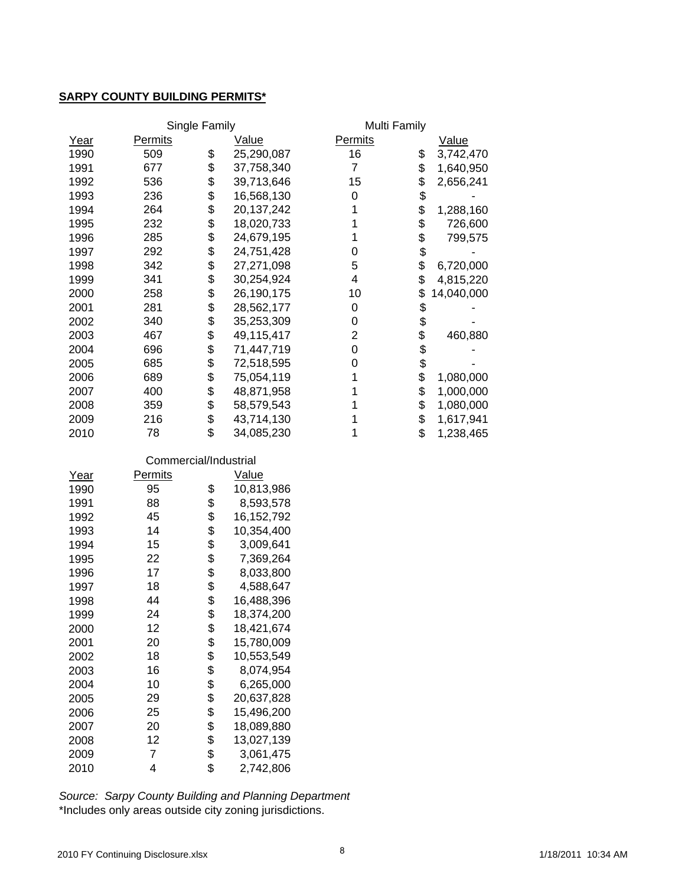## **SARPY COUNTY BUILDING PERMITS\***

|      |                       | Single Family |              | Multi Family     |                  |
|------|-----------------------|---------------|--------------|------------------|------------------|
| Year | Permits               |               | Value        | <b>Permits</b>   | Value            |
| 1990 | 509                   | \$            | 25,290,087   | 16               | \$<br>3,742,470  |
| 1991 | 677                   | \$            | 37,758,340   | $\overline{7}$   | \$<br>1,640,950  |
| 1992 | 536                   | \$            | 39,713,646   | 15               | \$<br>2,656,241  |
| 1993 | 236                   | \$            | 16,568,130   | 0                | \$               |
| 1994 | 264                   | \$            | 20,137,242   | 1                | \$<br>1,288,160  |
| 1995 | 232                   | \$            | 18,020,733   | 1                | \$<br>726,600    |
| 1996 | 285                   | \$            | 24,679,195   | 1                | \$<br>799,575    |
| 1997 | 292                   | \$            | 24,751,428   | $\boldsymbol{0}$ | \$               |
| 1998 | 342                   | \$            | 27,271,098   | 5                | \$<br>6,720,000  |
| 1999 | 341                   | \$            | 30,254,924   | 4                | \$<br>4,815,220  |
| 2000 | 258                   | \$            | 26,190,175   | 10               | \$<br>14,040,000 |
| 2001 | 281                   | \$            | 28,562,177   | 0                | \$               |
| 2002 | 340                   | \$            | 35,253,309   | 0                | \$               |
| 2003 | 467                   | \$            | 49,115,417   | $\overline{c}$   | \$<br>460,880    |
| 2004 | 696                   | \$            | 71,447,719   | 0                | \$               |
| 2005 | 685                   | \$            | 72,518,595   | 0                | \$               |
| 2006 | 689                   | \$            | 75,054,119   | 1                | \$<br>1,080,000  |
| 2007 | 400                   | \$            | 48,871,958   | 1                | \$<br>1,000,000  |
| 2008 | 359                   | \$            | 58,579,543   | 1                | \$<br>1,080,000  |
| 2009 | 216                   | \$            | 43,714,130   | 1                | \$<br>1,617,941  |
| 2010 | 78                    | \$            | 34,085,230   | 1                | \$<br>1,238,465  |
|      |                       |               |              |                  |                  |
|      | Commercial/Industrial |               |              |                  |                  |
| Year | Permits               |               | Value        |                  |                  |
| 1990 | 95                    | \$            | 10,813,986   |                  |                  |
| 1991 | 88                    | \$            | 8,593,578    |                  |                  |
| 1992 | 45                    | \$            | 16, 152, 792 |                  |                  |
| 1993 | 14                    | \$            | 10,354,400   |                  |                  |
| 1994 | 15                    | \$            | 3,009,641    |                  |                  |
| 1995 | 22                    | \$<br>\$      | 7,369,264    |                  |                  |
| 1996 | 17                    |               | 8,033,800    |                  |                  |
| 1997 | 18                    | \$<br>\$      | 4,588,647    |                  |                  |
| 1998 | 44                    | \$            | 16,488,396   |                  |                  |
| 1999 | 24                    |               | 18,374,200   |                  |                  |
| 2000 | 12                    | \$            | 18,421,674   |                  |                  |
| 2001 | 20                    | \$            | 15,780,009   |                  |                  |
| 2002 | 18                    | \$            | 10,553,549   |                  |                  |
| 2003 | 16                    | \$            | 8,074,954    |                  |                  |
| 2004 | 10                    | \$            | 6,265,000    |                  |                  |
| 2005 | 29                    | \$            | 20,637,828   |                  |                  |
| 2006 | 25                    | \$            | 15,496,200   |                  |                  |
| 2007 | 20                    | \$\$\$\$      | 18,089,880   |                  |                  |
| 2008 | 12                    |               | 13,027,139   |                  |                  |
| 2009 | $\overline{7}$        |               | 3,061,475    |                  |                  |
| 2010 | 4                     |               | 2,742,806    |                  |                  |

\*Includes only areas outside city zoning jurisdictions. *Source: Sarpy County Building and Planning Department*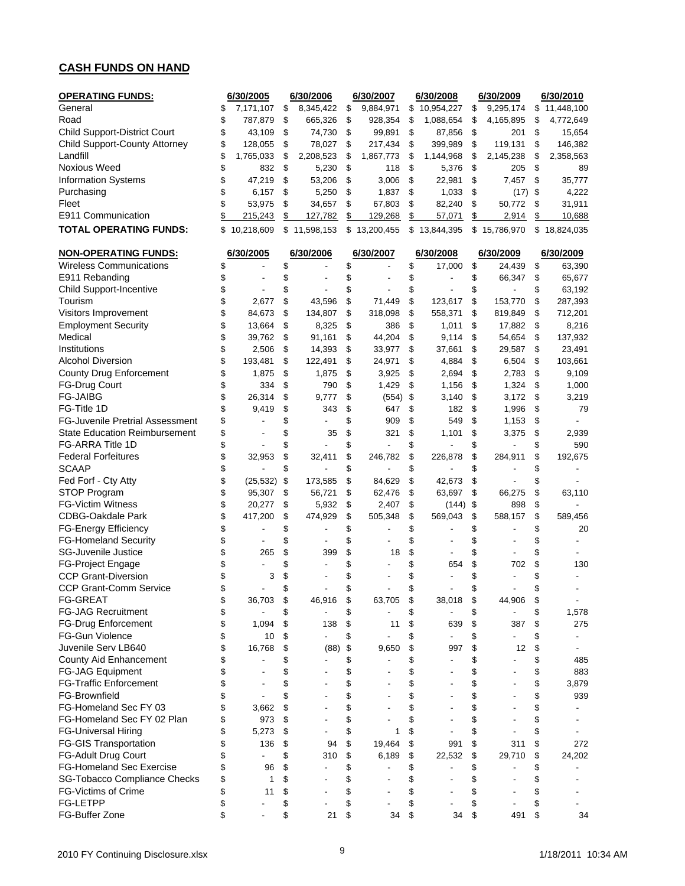# **CASH FUNDS ON HAND**

| <b>OPERATING FUNDS:</b>                | 6/30/2005       | 6/30/2006              | 6/30/2007            |                   | 6/30/2008                | 6/30/2009                      |               | 6/30/2010                |
|----------------------------------------|-----------------|------------------------|----------------------|-------------------|--------------------------|--------------------------------|---------------|--------------------------|
| General                                | \$<br>7,171,107 | \$<br>8,345,422        | \$<br>9,884,971      | \$                | 10,954,227               | \$<br>9,295,174                |               | \$11,448,100             |
| Road                                   | \$<br>787,879   | \$<br>665,326          | \$<br>928,354        | \$                | 1,088,654                | \$<br>4,165,895                | \$            | 4,772,649                |
| <b>Child Support-District Court</b>    | \$<br>43,109    | \$<br>74,730           | \$<br>99,891         | \$                | 87,856                   | \$<br>201                      | \$            | 15,654                   |
| <b>Child Support-County Attorney</b>   | \$<br>128,055   | \$<br>78,027           | \$<br>217,434        | \$                | 399,989                  | \$<br>119,131                  | \$            | 146,382                  |
| Landfill                               | \$<br>1,765,033 | \$<br>2,208,523        | \$<br>1,867,773      | \$                | 1,144,968                | \$<br>2,145,238                | \$            | 2,358,563                |
| Noxious Weed                           | \$<br>832       | \$<br>5,230            | \$<br>118            | \$                | 5,376                    | \$<br>205                      | \$            | 89                       |
| <b>Information Systems</b>             | \$<br>47,219    | \$<br>53,206           | \$<br>3,006          | \$                | 22,981                   | \$<br>7,457                    | \$            | 35,777                   |
| Purchasing                             | \$<br>6,157     | \$<br>5,250            | \$<br>1,837          | \$                | 1,033                    | \$<br>(17)                     | \$            | 4,222                    |
| Fleet                                  | \$<br>53,975    | \$<br>34,657           | \$<br>67,803         | \$                | 82,240                   | \$<br>50,772                   | \$            | 31,911                   |
| E911 Communication                     | \$<br>215,243   | \$<br>127,782          | \$<br>129,268        | $\frac{1}{2}$     | 57,071                   | \$<br>2,914                    | $\frac{1}{2}$ | 10,688                   |
| <b>TOTAL OPERATING FUNDS:</b>          | \$10,218,609    | \$11,598,153           | \$13,200,455         |                   | \$13,844,395             | \$15,786,970                   |               | \$18,824,035             |
|                                        |                 |                        |                      |                   |                          |                                |               |                          |
| <b>NON-OPERATING FUNDS:</b>            | 6/30/2005       | 6/30/2006              | 6/30/2007            |                   | 6/30/2008                | 6/30/2009                      |               | 6/30/2009                |
| <b>Wireless Communications</b>         | \$              | \$                     | \$                   | \$                | 17,000                   | \$<br>24,439                   | \$            | 63,390                   |
| E911 Rebanding                         | \$              | \$                     | \$                   | \$                |                          | \$<br>66,347                   | \$            | 65,677                   |
| <b>Child Support-Incentive</b>         | \$              | \$                     | \$                   | \$                |                          | \$                             | \$            | 63,192                   |
| Tourism                                | \$<br>2,677     | \$<br>43,596           | \$<br>71,449         | \$                | 123,617                  | \$<br>153,770                  | \$            | 287,393                  |
| Visitors Improvement                   | \$<br>84,673    | \$<br>134,807          | \$<br>318,098        | \$                | 558,371                  | \$<br>819,849                  | \$            | 712,201                  |
| <b>Employment Security</b>             | \$<br>13,664    | \$<br>8,325            | \$<br>386            | \$                | 1,011                    | \$<br>17,882                   | \$            | 8,216                    |
| Medical                                | \$              |                        | \$<br>44,204         | \$                | 9,114                    | \$                             |               |                          |
|                                        | 39,762          | \$<br>91,161<br>14,393 |                      |                   |                          | 54,654                         | \$            | 137,932                  |
| Institutions                           | \$<br>2,506     | \$                     | \$<br>33,977         | \$                | 37,661                   | \$<br>29,587                   | \$            | 23,491                   |
| <b>Alcohol Diversion</b>               | \$<br>193,481   | \$<br>122,491          | \$<br>24,971         | \$                | 4,884                    | \$<br>6,504                    | \$            | 103,661                  |
| <b>County Drug Enforcement</b>         | \$<br>1,875     | \$<br>1,875            | \$<br>3,925          | \$                | 2,694                    | \$<br>2,783                    | \$            | 9,109                    |
| <b>FG-Drug Court</b>                   | \$<br>334       | \$<br>790              | \$<br>1,429          | \$                | 1,156                    | \$<br>1,324                    | \$            | 1,000                    |
| <b>FG-JAIBG</b>                        | \$<br>26,314    | \$<br>9,777            | \$<br>(554)          | \$                | 3,140                    | \$<br>3,172                    | \$            | 3,219                    |
| FG-Title 1D                            | \$<br>9.419     | \$<br>343              | \$<br>647            | \$                | 182                      | \$<br>1,996                    | \$            | 79                       |
| <b>FG-Juvenile Pretrial Assessment</b> | \$              | \$                     | \$<br>909            | \$                | 549                      | \$<br>1,153                    | \$            |                          |
| <b>State Education Reimbursement</b>   | \$              | \$<br>35               | \$<br>321            | \$                | 1,101                    | \$<br>3,375                    | \$            | 2,939                    |
| FG-ARRA Title 1D                       | \$              | \$                     | \$                   | \$                |                          | \$                             | \$            | 590                      |
| <b>Federal Forfeitures</b>             | \$<br>32,953    | \$<br>32,411           | \$<br>246,782        | \$                | 226,878                  | \$<br>284,911                  | \$            | 192,675                  |
| <b>SCAAP</b>                           | \$              | \$                     | \$                   | \$                |                          | \$                             | \$            |                          |
| Fed Forf - Cty Atty                    | \$<br>(25, 532) | \$<br>173,585          | \$<br>84,629         | \$                | 42,673                   | \$                             | \$            |                          |
| STOP Program                           | \$<br>95,307    | \$<br>56,721           | \$<br>62,476         | \$                | 63,697                   | \$<br>66,275                   | \$            | 63,110                   |
| <b>FG-Victim Witness</b>               | \$<br>20,277    | \$<br>5,932            | \$<br>2,407          | \$                | (144)                    | \$<br>898                      | \$            |                          |
| <b>CDBG-Oakdale Park</b>               | \$<br>417,200   | \$<br>474,929          | \$<br>505,348        | \$                | 569,043                  | \$<br>588,157                  | \$            | 589,456                  |
| <b>FG-Energy Efficiency</b>            | \$              | \$                     | \$                   | \$                |                          | \$                             | \$            | 20                       |
| <b>FG-Homeland Security</b>            | \$              | \$                     | \$                   | \$                |                          | \$                             | \$            |                          |
| <b>SG-Juvenile Justice</b>             | \$<br>265       | \$<br>399              | \$<br>18             | \$                |                          | \$                             | \$            |                          |
| FG-Project Engage                      | \$              | \$                     | \$                   | \$                | 654                      | \$<br>702                      | \$            | 130                      |
| <b>CCP Grant-Diversion</b>             | \$<br>3         | \$                     |                      | \$                |                          | \$                             | \$            |                          |
| CCP Grant-Comm Service                 | \$              | \$                     | \$                   | \$                |                          | \$                             | \$            |                          |
| <b>FG-GREAT</b>                        | \$<br>36,703    | \$<br>46,916           | \$<br>63,705         | \$                | 38,018                   | \$<br>44,906                   | \$            |                          |
| <b>FG-JAG Recruitment</b>              | \$              | \$<br>$\blacksquare$   | \$                   | \$                | $\overline{a}$           | \$                             | \$            | 1,578                    |
| <b>FG-Drug Enforcement</b>             | \$<br>1,094     | \$<br>138              | \$<br>11             | \$                | 639                      | \$<br>387                      | \$            | 275                      |
| <b>FG-Gun Violence</b>                 |                 |                        |                      |                   |                          |                                |               |                          |
|                                        | \$<br>10        | \$                     | \$                   | \$                | $\overline{\phantom{a}}$ | \$<br>$\overline{\phantom{a}}$ | \$            | $\overline{\phantom{a}}$ |
| Juvenile Serv LB640                    | \$<br>16,768    | \$<br>(88)             | \$<br>9,650          | \$                | 997                      | \$<br>12                       | \$            |                          |
| County Aid Enhancement                 | \$              | \$                     | \$                   | \$                |                          | \$                             | \$            | 485                      |
| <b>FG-JAG Equipment</b>                | \$              | \$                     | \$                   | \$                |                          | \$                             | \$            | 883                      |
| <b>FG-Traffic Enforcement</b>          | \$              | \$                     | \$                   | \$                |                          | \$                             | \$            | 3,879                    |
| FG-Brownfield                          | \$              | \$                     | \$                   | \$                |                          | \$                             | \$            | 939                      |
| FG-Homeland Sec FY 03                  | \$<br>3,662     | \$                     | \$                   | \$                |                          | \$                             | \$            |                          |
| FG-Homeland Sec FY 02 Plan             | \$<br>973       | \$                     | \$                   | \$                |                          | \$                             | \$            |                          |
| <b>FG-Universal Hiring</b>             | \$<br>5,273     | \$                     | \$<br>1              | \$                |                          | \$                             | \$            |                          |
| <b>FG-GIS Transportation</b>           | \$<br>136       | \$<br>94               | \$<br>19,464         | \$                | 991                      | \$<br>311                      | \$            | 272                      |
| FG-Adult Drug Court                    | \$              | \$<br>310              | \$<br>6,189          | \$                | 22,532                   | \$<br>29,710                   | \$            | 24,202                   |
| <b>FG-Homeland Sec Exercise</b>        | \$<br>96        | \$                     | \$                   | \$                |                          | \$                             | \$            |                          |
| SG-Tobacco Compliance Checks           | \$<br>1         | \$                     | \$                   | \$                |                          | \$                             | \$            |                          |
| <b>FG-Victims of Crime</b>             | \$<br>11        | \$                     | \$<br>$\overline{a}$ | \$                |                          | \$                             | \$            |                          |
| <b>FG-LETPP</b>                        | \$              | \$                     | \$                   | \$                |                          | \$                             | \$            |                          |
| FG-Buffer Zone                         | \$              | \$<br>21               | \$<br>34             | $\boldsymbol{\$}$ | 34                       | \$<br>491                      | \$            | 34                       |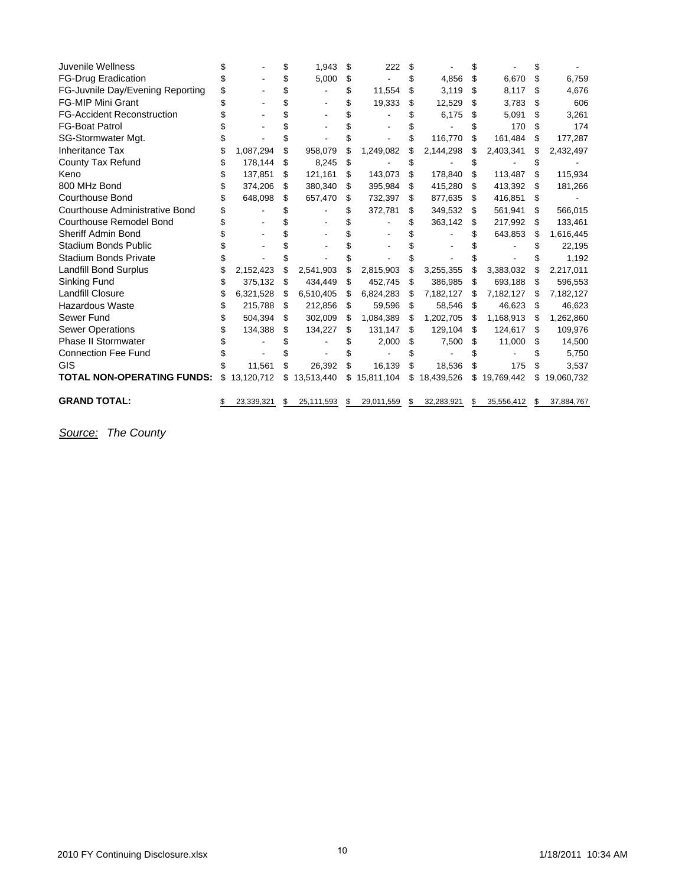| Juvenile Wellness                 |    |            | \$<br>1,943      | \$  | 222        |     |            | \$ |            |     |            |
|-----------------------------------|----|------------|------------------|-----|------------|-----|------------|----|------------|-----|------------|
| <b>FG-Drug Eradication</b>        |    |            | \$<br>5,000      | S   |            |     | 4,856      | S  | 6,670      | S   | 6,759      |
| FG-Juvnile Day/Evening Reporting  | \$ |            | \$               |     | 11,554     | \$  | 3,119      | S  | 8,117      | \$  | 4,676      |
| <b>FG-MIP Mini Grant</b>          |    |            | \$               |     | 19,333     | \$  | 12,529     | S  | 3,783      | \$  | 606        |
| <b>FG-Accident Reconstruction</b> |    |            | \$               |     |            |     | 6,175      | S  | 5,091      | \$  | 3,261      |
| <b>FG-Boat Patrol</b>             |    |            |                  |     |            |     |            |    | 170        | \$  | 174        |
| SG-Stormwater Mgt.                |    |            | \$               |     |            |     | 116.770    | \$ | 161,484    | \$  | 177,287    |
| <b>Inheritance Tax</b>            |    | 1,087,294  | \$<br>958,079    |     | 1,249,082  |     | 2,144,298  | S  | 2,403,341  | S   | 2,432,497  |
| County Tax Refund                 |    | 178,144    | \$<br>8,245      | \$. |            |     |            |    |            |     |            |
| Keno                              | S  | 137,851    | \$<br>121,161    | S   | 143,073    | \$  | 178,840    | S  | 113,487    | S   | 115,934    |
| 800 MHz Bond                      |    | 374,206    | \$<br>380,340    | \$  | 395,984    | \$  | 415,280    | \$ | 413,392    | \$  | 181,266    |
| <b>Courthouse Bond</b>            |    | 648,098    | \$<br>657,470    | S   | 732,397    | \$  | 877,635    | S  | 416,851    | \$  |            |
| Courthouse Administrative Bond    |    |            |                  |     | 372,781    | S   | 349,532    | S  | 561,941    | \$  | 566,015    |
| Courthouse Remodel Bond           |    |            |                  |     |            |     | 363,142    | S  | 217,992    | \$  | 133,461    |
| <b>Sheriff Admin Bond</b>         |    |            |                  |     |            |     |            |    | 643,853    | S   | 1,616,445  |
| <b>Stadium Bonds Public</b>       |    |            |                  |     |            |     |            |    |            |     | 22,195     |
| <b>Stadium Bonds Private</b>      |    |            |                  |     |            |     |            |    |            |     | 1,192      |
| <b>Landfill Bond Surplus</b>      |    | 2,152,423  | \$<br>2,541,903  | \$. | 2,815,903  | S   | 3,255,355  | S  | 3,383,032  | S   | 2,217,011  |
| Sinking Fund                      |    | 375,132    | \$<br>434,449    | S   | 452,745    | S   | 386,985    | S  | 693,188    | S   | 596,553    |
| <b>Landfill Closure</b>           | \$ | 6,321,528  | \$<br>6,510,405  | S   | 6,824,283  | \$  | 7,182,127  | S  | 7,182,127  | S   | 7,182,127  |
| <b>Hazardous Waste</b>            | S  | 215,788    | \$<br>212,856    | \$. | 59,596     | \$  | 58,546     | S  | 46,623     | S   | 46,623     |
| Sewer Fund                        |    | 504,394    | \$<br>302,009    | \$. | 1,084,389  | \$. | 1,202,705  | S  | 1,168,913  | \$. | 1,262,860  |
| <b>Sewer Operations</b>           |    | 134,388    | \$<br>134,227    | S   | 131,147    | \$  | 129,104    | S  | 124,617    | S   | 109,976    |
| <b>Phase II Stormwater</b>        |    |            |                  |     | 2,000      | \$  | 7,500      | S  | 11,000     | S   | 14,500     |
| <b>Connection Fee Fund</b>        |    |            |                  |     |            |     |            |    |            |     | 5,750      |
| GIS                               |    | 11,561     | \$<br>26,392     |     | 16,139     | \$  | 18,536     | S  | 175        | \$  | 3,537      |
| <b>TOTAL NON-OPERATING FUNDS:</b> | \$ | 13,120,712 | \$<br>13,513,440 | \$  | 15,811,104 | \$  | 18,439,526 | \$ | 19,769,442 | \$  | 19,060,732 |
| <b>GRAND TOTAL:</b>               |    | 23,339,321 | \$<br>25,111,593 | \$  | 29,011,559 | \$  | 32,283,921 | \$ | 35,556,412 | \$  | 37,884,767 |
|                                   |    |            |                  |     |            |     |            |    |            |     |            |

*Source: The County*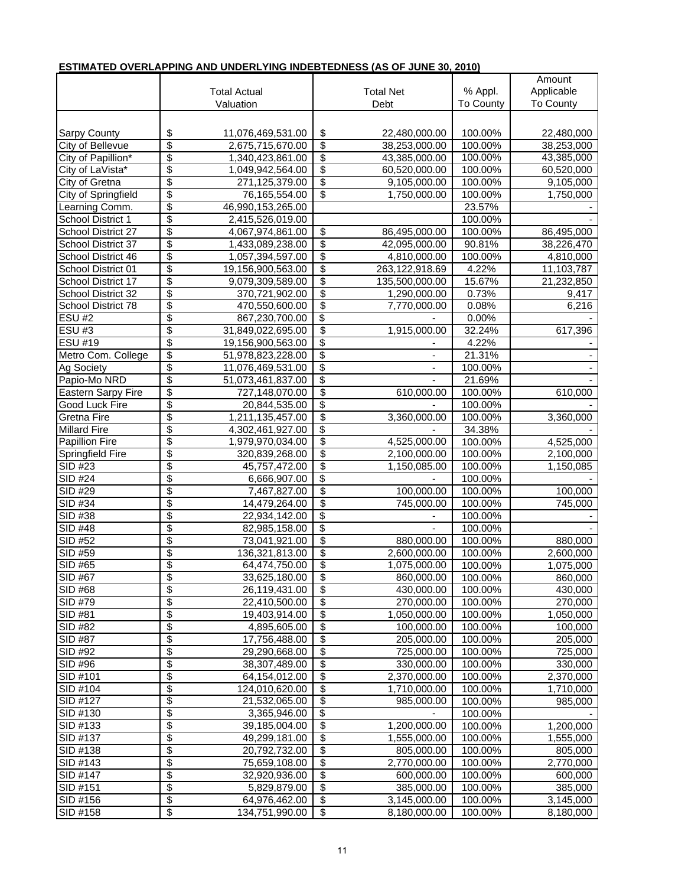|                     |                                  |                     |                          |                          |           | Amount           |
|---------------------|----------------------------------|---------------------|--------------------------|--------------------------|-----------|------------------|
|                     |                                  | <b>Total Actual</b> |                          | <b>Total Net</b>         | % Appl.   | Applicable       |
|                     |                                  | Valuation           |                          | Debt                     | To County | <b>To County</b> |
|                     |                                  |                     |                          |                          |           |                  |
| <b>Sarpy County</b> | \$                               | 11,076,469,531.00   | \$                       | 22,480,000.00            | 100.00%   | 22,480,000       |
| City of Bellevue    | $\overline{\mathbf{S}}$          |                     | \$                       |                          | 100.00%   | 38,253,000       |
|                     |                                  | 2,675,715,670.00    |                          | 38,253,000.00            |           |                  |
| City of Papillion*  | \$                               | 1,340,423,861.00    | \$                       | 43,385,000.00            | 100.00%   | 43,385,000       |
| City of LaVista*    | $\overline{\boldsymbol{\theta}}$ | 1,049,942,564.00    | \$                       | 60,520,000.00            | 100.00%   | 60,520,000       |
| City of Gretna      | $\overline{\$}$                  | 271,125,379.00      | \$                       | 9,105,000.00             | 100.00%   | 9,105,000        |
| City of Springfield | \$                               | 76,165,554.00       | \$                       | 1,750,000.00             | 100.00%   | 1,750,000        |
| Learning Comm.      | $\overline{\$}$                  | 46,990,153,265.00   |                          |                          | 23.57%    |                  |
| School District 1   | $\overline{\mathcal{S}}$         | 2,415,526,019.00    |                          |                          | 100.00%   |                  |
| School District 27  | \$                               | 4,067,974,861.00    | \$                       | 86,495,000.00            | 100.00%   | 86,495,000       |
| School District 37  | \$                               | 1,433,089,238.00    | \$                       | 42,095,000.00            | 90.81%    | 38,226,470       |
| School District 46  | \$                               | 1,057,394,597.00    | \$                       | 4,810,000.00             | 100.00%   | 4,810,000        |
| School District 01  | $\overline{\$}$                  | 19,156,900,563.00   | $\overline{\$}$          | 263,122,918.69           | 4.22%     | 11,103,787       |
| School District 17  | $\overline{\boldsymbol{\theta}}$ | 9,079,309,589.00    | \$                       | 135,500,000.00           | 15.67%    | 21,232,850       |
| School District 32  | $\overline{\$}$                  | 370,721,902.00      | \$                       | 1,290,000.00             | 0.73%     | 9,417            |
| School District 78  | \$                               | 470,550,600.00      | \$                       | 7,770,000.00             | 0.08%     | 6,216            |
| ESU#2               | \$                               | 867,230,700.00      | \$                       |                          | 0.00%     |                  |
| ESU#3               | $\overline{\boldsymbol{\theta}}$ | 31,849,022,695.00   | \$                       | 1,915,000.00             | 32.24%    | 617,396          |
| <b>ESU #19</b>      | $\overline{\$}$                  | 19,156,900,563.00   | \$                       |                          | 4.22%     |                  |
| Metro Com. College  | $\overline{\boldsymbol{\theta}}$ | 51,978,823,228.00   | $\overline{\$}$          |                          | 21.31%    |                  |
| <b>Ag Society</b>   | \$                               | 11,076,469,531.00   | $\overline{\$}$          | $\overline{\phantom{0}}$ | 100.00%   |                  |
| Papio-Mo NRD        | $\overline{\$}$                  | 51,073,461,837.00   | \$                       |                          | 21.69%    |                  |
| Eastern Sarpy Fire  | \$                               | 727,148,070.00      | \$                       | 610,000.00               | 100.00%   | 610,000          |
| Good Luck Fire      | \$                               | 20,844,535.00       | \$                       |                          | 100.00%   |                  |
| Gretna Fire         | $\overline{\$}$                  | 1,211,135,457.00    | \$                       | 3,360,000.00             | 100.00%   | 3,360,000        |
| <b>Millard Fire</b> | \$                               | 4,302,461,927.00    | \$                       |                          | 34.38%    |                  |
| Papillion Fire      | $\overline{\mathcal{S}}$         | 1,979,970,034.00    | $\overline{\$}$          | 4,525,000.00             | 100.00%   | 4,525,000        |
| Springfield Fire    | \$                               | 320,839,268.00      | \$                       | 2,100,000.00             | 100.00%   | 2,100,000        |
| SID #23             | \$                               | 45,757,472.00       | \$                       | 1,150,085.00             | 100.00%   | 1,150,085        |
| <b>SID #24</b>      | $\overline{\mathbf{S}}$          | 6,666,907.00        | \$                       |                          | 100.00%   |                  |
| SID #29             | $\overline{\$}$                  | 7,467,827.00        | \$                       | 100,000.00               | 100.00%   | 100,000          |
| SID #34             | \$                               | 14,479,264.00       | $\overline{\mathcal{S}}$ | 745,000.00               | 100.00%   | 745,000          |
| <b>SID #38</b>      | $\overline{\boldsymbol{\theta}}$ | 22,934,142.00       | \$                       |                          | 100.00%   |                  |
| <b>SID #48</b>      | \$                               | 82,985,158.00       | \$                       |                          | 100.00%   |                  |
| SID #52             | \$                               | 73,041,921.00       | \$                       | 880,000.00               | 100.00%   | 880,000          |
| SID #59             | \$                               | 136,321,813.00      | \$                       | 2,600,000.00             | 100.00%   | 2,600,000        |
| SID #65             | \$                               | 64,474,750.00       | \$                       | 1,075,000.00             | 100.00%   | 1,075,000        |
| <b>SID #67</b>      | \$                               | 33,625,180.00       | \$                       | 860,000.00               | 100.00%   | 860,000          |
| SID #68             | \$                               | 26,119,431.00       | \$                       | 430,000.00               | 100.00%   | 430,000          |
| SID #79             | \$                               | 22,410,500.00       | \$                       | 270,000.00               | 100.00%   | 270,000          |
| SID #81             | \$                               | 19,403,914.00       | \$                       | 1,050,000.00             | 100.00%   | 1,050,000        |
| SID #82             | \$                               | 4,895,605.00        | \$                       | 100,000.00               | 100.00%   | 100,000          |
| SID #87             | \$                               | 17,756,488.00       | \$                       | 205,000.00               | 100.00%   | 205,000          |
| SID #92             | \$                               | 29,290,668.00       | $\overline{\$}$          | 725,000.00               | 100.00%   | 725,000          |
| SID #96             | \$                               | 38,307,489.00       | $\overline{\mathbf{e}}$  | 330,000.00               | 100.00%   | 330,000          |
| SID #101            | \$                               | 64,154,012.00       | \$                       | 2,370,000.00             | 100.00%   | 2,370,000        |
| SID #104            | \$                               | 124,010,620.00      | \$                       | 1,710,000.00             | 100.00%   | 1,710,000        |
| SID #127            | \$                               | 21,532,065.00       |                          | 985,000.00               | 100.00%   | 985,000          |
| SID #130            | \$                               | 3,365,946.00        | \$<br>\$                 |                          | 100.00%   |                  |
| SID #133            | \$                               |                     | \$                       | 1,200,000.00             |           |                  |
|                     | \$                               | 39,185,004.00       |                          |                          | 100.00%   | 1,200,000        |
| SID #137            |                                  | 49,299,181.00       | \$<br>$\overline{\$}$    | 1,555,000.00             | 100.00%   | 1,555,000        |
| SID #138            | $\overline{\mathcal{S}}$         | 20,792,732.00       |                          | 805,000.00               | 100.00%   | 805,000          |
| SID #143            | \$                               | 75,659,108.00       | \$                       | 2,770,000.00             | 100.00%   | 2,770,000        |
| SID #147            | \$                               | 32,920,936.00       | \$                       | 600,000.00               | 100.00%   | 600,000          |
| SID #151            | $\overline{\boldsymbol{\theta}}$ | 5,829,879.00        | \$                       | 385,000.00               | 100.00%   | 385,000          |
| SID #156            | \$                               | 64,976,462.00       | \$                       | 3,145,000.00             | 100.00%   | 3,145,000        |
| SID #158            | \$                               | 134,751,990.00      | \$                       | 8,180,000.00             | 100.00%   | 8,180,000        |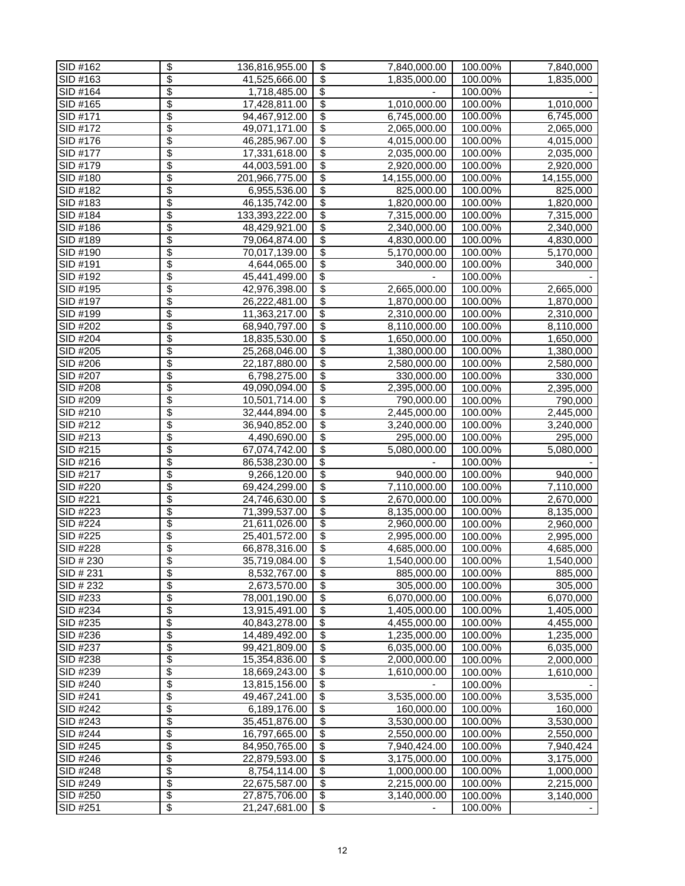| SID #162  | \$<br>136,816,955.00                      | \$                       | 7,840,000.00  | 100.00% | 7,840,000              |
|-----------|-------------------------------------------|--------------------------|---------------|---------|------------------------|
| SID #163  | \$<br>41,525,666.00                       | $\overline{\mathbf{S}}$  | 1,835,000.00  | 100.00% | 1,835,000              |
| SID #164  | \$<br>1,718,485.00                        | $\overline{\mathbf{S}}$  |               | 100.00% |                        |
| SID #165  | \$<br>17,428,811.00                       | $\overline{\$}$          | 1,010,000.00  | 100.00% | 1,010,000              |
| SID #171  | \$<br>94,467,912.00                       | \$                       | 6,745,000.00  | 100.00% | 6,745,000              |
| SID #172  | \$<br>49,071,171.00                       | \$                       | 2,065,000.00  | 100.00% | 2,065,000              |
| SID #176  | \$<br>46,285,967.00                       | \$                       | 4,015,000.00  | 100.00% | 4,015,000              |
| SID #177  | \$<br>17,331,618.00                       | \$                       | 2,035,000.00  | 100.00% | 2,035,000              |
| SID #179  | \$<br>44,003,591.00                       | \$                       | 2,920,000.00  | 100.00% | 2,920,000              |
| SID #180  | \$<br>201,966,775.00                      | $\overline{\$}$          | 14,155,000.00 | 100.00% | 14,155,000             |
| SID #182  | \$<br>6,955,536.00                        | \$                       | 825,000.00    | 100.00% | 825,000                |
| SID #183  | \$<br>46,135,742.00                       | \$                       | 1,820,000.00  | 100.00% | 1,820,000              |
| SID #184  | \$<br>133,393,222.00                      | \$                       | 7,315,000.00  | 100.00% | 7,315,000              |
| SID #186  | \$<br>48,429,921.00                       | \$                       | 2,340,000.00  | 100.00% | 2,340,000              |
| SID #189  | $\overline{\$}$<br>79,064,874.00          | \$                       | 4,830,000.00  | 100.00% | 4,830,000              |
| SID #190  | \$<br>70,017,139.00                       | $\overline{\$}$          | 5,170,000.00  | 100.00% | $\overline{5,170,000}$ |
| SID #191  | \$<br>4,644,065.00                        | $\overline{\$}$          | 340,000.00    | 100.00% | 340,000                |
| SID #192  | \$<br>45,441,499.00                       | \$                       |               | 100.00% |                        |
| SID #195  | \$<br>42,976,398.00                       | \$                       | 2,665,000.00  | 100.00% | 2,665,000              |
| SID #197  | \$<br>26,222,481.00                       | \$                       | 1,870,000.00  | 100.00% | 1,870,000              |
| SID #199  | \$<br>11,363,217.00                       | \$                       | 2,310,000.00  | 100.00% | 2,310,000              |
| SID #202  | \$<br>68,940,797.00                       | $\overline{\$}$          | 8,110,000.00  | 100.00% | 8,110,000              |
| SID #204  | \$<br>18,835,530.00                       | $\overline{\mathbf{e}}$  | 1,650,000.00  | 100.00% | 1,650,000              |
| SID #205  | \$<br>25,268,046.00                       | \$                       | 1,380,000.00  | 100.00% | 1,380,000              |
| SID #206  | \$<br>22,187,880.00                       | \$                       | 2,580,000.00  | 100.00% | 2,580,000              |
| SID #207  | \$<br>6,798,275.00                        | \$                       | 330,000.00    | 100.00% | 330,000                |
| SID #208  | \$<br>49,090,094.00                       | \$                       | 2,395,000.00  | 100.00% | 2,395,000              |
| SID #209  | \$<br>10,501,714.00                       | \$                       | 790,000.00    | 100.00% | 790,000                |
| SID #210  | \$<br>32,444,894.00                       | $\overline{\$}$          | 2,445,000.00  | 100.00% | $\overline{2,}445,000$ |
| SID #212  | \$<br>36,940,852.00                       | \$                       | 3,240,000.00  | 100.00% | $\overline{3,}240,000$ |
| SID #213  | \$<br>4,490,690.00                        | \$                       | 295,000.00    | 100.00% | 295,000                |
| SID #215  | \$<br>67,074,742.00                       | \$                       | 5,080,000.00  | 100.00% | 5,080,000              |
| SID #216  | \$<br>86,538,230.00                       | \$                       |               | 100.00% |                        |
| SID #217  | \$<br>9,266,120.00                        | $\overline{\mathbf{e}}$  | 940,000.00    | 100.00% | 940,000                |
| SID #220  | \$<br>69,424,299.00                       | $\overline{\$}$          | 7,110,000.00  | 100.00% | 7,110,000              |
| SID #221  | \$<br>24,746,630.00                       | \$                       | 2,670,000.00  | 100.00% | 2,670,000              |
| SID #223  | \$<br>71,399,537.00                       | \$                       | 8,135,000.00  | 100.00% | 8,135,000              |
| SID #224  | \$<br>21,611,026.00                       | \$                       | 2,960,000.00  | 100.00% | 2,960,000              |
| SID #225  | \$<br>25,401,572.00                       | $\overline{\$}$          | 2,995,000.00  | 100.00% | 2,995,000              |
| SID #228  | \$<br>66,878,316.00                       | \$                       | 4,685,000.00  | 100.00% | 4,685,000              |
| SID # 230 | $\overline{\$}$<br>35,719,084.00          | $\overline{\$}$          | 1,540,000.00  | 100.00% | 1,540,000              |
| SID # 231 | \$<br>8,532,767.00                        | \$                       | 885,000.00    | 100.00% | 885,000                |
| SID # 232 | \$<br>2,673,570.00                        | \$                       | 305,000.00    | 100.00% | 305,000                |
| SID #233  | \$<br>78,001,190.00                       | \$                       | 6,070,000.00  | 100.00% | 6,070,000              |
| SID #234  | \$<br>13,915,491.00                       | \$                       | 1,405,000.00  | 100.00% | 1,405,000              |
| SID #235  | \$<br>40,843,278.00                       | \$                       | 4,455,000.00  | 100.00% | 4,455,000              |
| SID #236  | \$<br>14,489,492.00                       | $\overline{\$}$          | 1,235,000.00  | 100.00% | 1,235,000              |
| SID #237  | \$<br>99,421,809.00                       | \$                       | 6,035,000.00  | 100.00% | 6,035,000              |
| SID #238  | \$<br>15,354,836.00                       | \$                       | 2,000,000.00  | 100.00% | 2,000,000              |
| SID #239  | \$<br>18,669,243.00                       | \$                       | 1,610,000.00  | 100.00% | 1,610,000              |
| SID #240  | $\overline{\$}$<br>13,815,156.00          | \$                       |               | 100.00% |                        |
| SID #241  | $\overline{\$}$<br>49,467,241.00          | \$                       | 3,535,000.00  | 100.00% | 3,535,000              |
| SID #242  | \$<br>6,189,176.00                        | \$                       | 160,000.00    | 100.00% | 160,000                |
| SID #243  | $\overline{\$}$<br>35,451,876.00          | $\overline{\mathcal{E}}$ | 3,530,000.00  | 100.00% | 3,530,000              |
| SID #244  | $\overline{\mathcal{S}}$<br>16,797,665.00 | \$                       | 2,550,000.00  | 100.00% | 2,550,000              |
| SID #245  | \$<br>84,950,765.00                       | \$                       | 7,940,424.00  | 100.00% | 7,940,424              |
| SID #246  | $\overline{\mathcal{S}}$<br>22,879,593.00 | \$                       | 3,175,000.00  | 100.00% | 3,175,000              |
| SID #248  | \$<br>8,754,114.00                        | \$                       | 1,000,000.00  | 100.00% | 1,000,000              |
| SID #249  | \$<br>22,675,587.00                       | \$                       | 2,215,000.00  | 100.00% | 2,215,000              |
| SID #250  | \$<br>27,875,706.00                       | $\overline{\$}$          | 3,140,000.00  | 100.00% | 3,140,000              |
| SID #251  | $\overline{\$}$<br>21,247,681.00          | \$                       |               | 100.00% |                        |